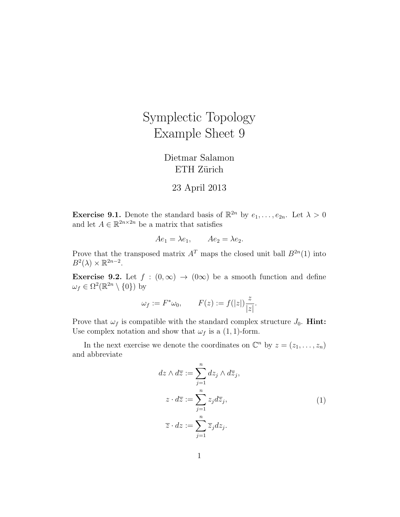## Symplectic Topology Example Sheet 9

## Dietmar Salamon ETH Zürich

## 23 April 2013

**Exercise 9.1.** Denote the standard basis of  $\mathbb{R}^{2n}$  by  $e_1, \ldots, e_{2n}$ . Let  $\lambda > 0$ and let  $A \in \mathbb{R}^{2n \times 2n}$  be a matrix that satisfies

$$
Ae_1 = \lambda e_1, \qquad Ae_2 = \lambda e_2.
$$

Prove that the transposed matrix  $A<sup>T</sup>$  maps the closed unit ball  $B<sup>2n</sup>(1)$  into  $B^2(\lambda) \times \mathbb{R}^{2n-2}$ .

**Exercise 9.2.** Let  $f : (0, \infty) \to (0\infty)$  be a smooth function and define  $\omega_f \in \Omega^2(\mathbb{R}^{2n} \setminus \{0\})$  by

$$
\omega_f := F^* \omega_0, \qquad F(z) := f(|z|) \frac{z}{|z|}.
$$

Prove that  $\omega_f$  is compatible with the standard complex structure  $J_0$ . **Hint:** Use complex notation and show that  $\omega_f$  is a (1, 1)-form.

In the next exercise we denote the coordinates on  $\mathbb{C}^n$  by  $z = (z_1, \ldots, z_n)$ and abbreviate

$$
dz \wedge d\overline{z} := \sum_{j=1}^{n} dz_j \wedge d\overline{z}_j,
$$
  
\n
$$
z \cdot d\overline{z} := \sum_{j=1}^{n} z_j d\overline{z}_j,
$$
  
\n
$$
\overline{z} \cdot dz := \sum_{j=1}^{n} \overline{z}_j dz_j.
$$
\n(1)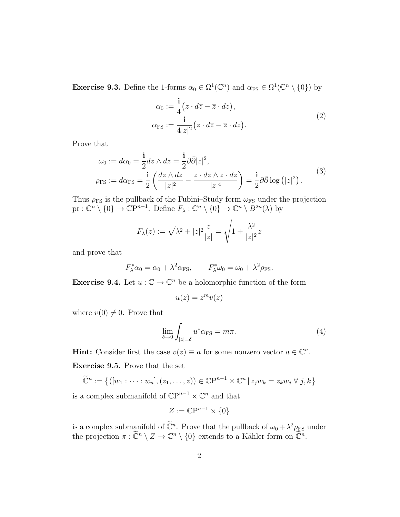**Exercise 9.3.** Define the 1-forms  $\alpha_0 \in \Omega^1(\mathbb{C}^n)$  and  $\alpha_{\text{FS}} \in \Omega^1(\mathbb{C}^n \setminus \{0\})$  by

$$
\alpha_0 := \frac{\mathbf{i}}{4} \left( z \cdot d\overline{z} - \overline{z} \cdot dz \right),
$$
  
\n
$$
\alpha_{\text{FS}} := \frac{\mathbf{i}}{4|z|^2} \left( z \cdot d\overline{z} - \overline{z} \cdot dz \right).
$$
\n(2)

Prove that

$$
\omega_0 := d\alpha_0 = \frac{\mathbf{i}}{2} dz \wedge d\overline{z} = \frac{\mathbf{i}}{2} \partial \overline{\partial} |z|^2,
$$
  
\n
$$
\rho_{\text{FS}} := d\alpha_{\text{FS}} = \frac{\mathbf{i}}{2} \left( \frac{dz \wedge d\overline{z}}{|z|^2} - \frac{\overline{z} \cdot dz \wedge z \cdot d\overline{z}}{|z|^4} \right) = \frac{\mathbf{i}}{2} \partial \overline{\partial} \log \left( |z|^2 \right).
$$
\n(3)

Thus  $\rho_{\text{FS}}$  is the pullback of the Fubini–Study form  $\omega_{\text{FS}}$  under the projection  $pr: \mathbb{C}^n \setminus \{0\} \to \mathbb{C}\mathrm{P}^{n-1}$ . Define  $F_\lambda: \mathbb{C}^n \setminus \{0\} \to \mathbb{C}^n \setminus B^{2n}(\lambda)$  by

$$
F_{\lambda}(z) := \sqrt{\lambda^2 + |z|^2} \frac{z}{|z|} = \sqrt{1 + \frac{\lambda^2}{|z|^2}} z
$$

and prove that

$$
F_{\lambda}^* \alpha_0 = \alpha_0 + \lambda^2 \alpha_{\text{FS}}, \qquad F_{\lambda}^* \omega_0 = \omega_0 + \lambda^2 \rho_{\text{FS}}.
$$

**Exercise 9.4.** Let  $u : \mathbb{C} \to \mathbb{C}^n$  be a holomorphic function of the form

$$
u(z) = z^m v(z)
$$

where  $v(0) \neq 0$ . Prove that

$$
\lim_{\delta \to 0} \int_{|z| = \delta} u^* \alpha_{\text{FS}} = m\pi. \tag{4}
$$

**Hint:** Consider first the case  $v(z) \equiv a$  for some nonzero vector  $a \in \mathbb{C}^n$ .

Exercise 9.5. Prove that the set

$$
\widetilde{\mathbb{C}}^n := \left\{ ([w_1 : \dots : w_n], (z_1, \dots, z)) \in \mathbb{C}\mathbb{P}^{n-1} \times \mathbb{C}^n \mid z_j w_k = z_k w_j \ \forall \ j, k \right\}
$$

is a complex submanifold of  $\mathbb{C}P^{n-1}\times \mathbb{C}^n$  and that

$$
Z := \mathbb{C}\mathrm{P}^{n-1} \times \{0\}
$$

is a complex submanifold of  $\tilde{\mathbb{C}}^n$ . Prove that the pullback of  $\omega_0 + \lambda^2 \rho_{FS}$  under the projection  $\pi : \widetilde{\mathbb{C}}^n \setminus Z \to \mathbb{C}^n \setminus \{0\}$  extends to a Kähler form on  $\widetilde{\mathbb{C}}^n$ .